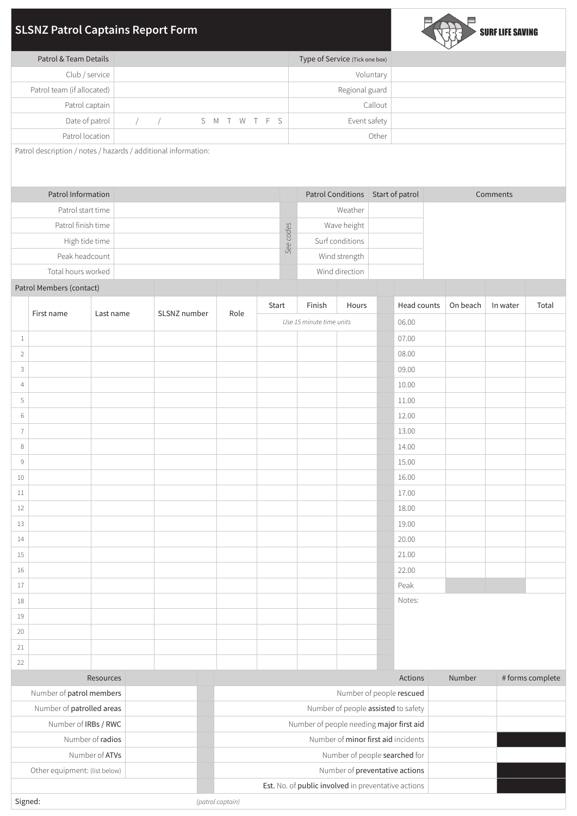# **SLSNZ Patrol Captains Report Form**



| Patrol & Team Details      | Type of Service (Tick one box) |
|----------------------------|--------------------------------|
| Club / service             | Voluntary                      |
| Patrol team (if allocated) | Regional guard                 |
| Patrol captain             | Callout                        |
| Date of patrol             | Event safety<br>// SMTWTFS     |
| Patrol location            | Other                          |

Patrol description / notes / hazards / additional information:

| Patrol Information |           | Patrol Conditions | Start of patrol | Comments |
|--------------------|-----------|-------------------|-----------------|----------|
| Patrol start time  |           | Weather           |                 |          |
| Patrol finish time |           | Wave height       |                 |          |
| High tide time     | See codes | Surf conditions   |                 |          |
| Peak headcount     |           | Wind strength     |                 |          |
| Total hours worked |           | Wind direction    |                 |          |

## Patrol Members (contact)

|                | First name |           | SLSNZ number | Role | Start                    | Finish | Hours | Head counts | On beach | In water | Total |
|----------------|------------|-----------|--------------|------|--------------------------|--------|-------|-------------|----------|----------|-------|
|                |            | Last name |              |      | Use 15 minute time units |        |       | 06.00       |          |          |       |
| $\mathbf{1}$   |            |           |              |      |                          |        |       | 07.00       |          |          |       |
| $\overline{2}$ |            |           |              |      |                          |        |       | 08.00       |          |          |       |
| $\mathsf{3}$   |            |           |              |      |                          |        |       | 09.00       |          |          |       |
| $\overline{4}$ |            |           |              |      |                          |        |       | 10.00       |          |          |       |
| 5              |            |           |              |      |                          |        |       | 11.00       |          |          |       |
| 6              |            |           |              |      |                          |        |       | 12.00       |          |          |       |
| $\overline{7}$ |            |           |              |      |                          |        |       | 13.00       |          |          |       |
| $\,8\,$        |            |           |              |      |                          |        |       | 14.00       |          |          |       |
| $\,9$          |            |           |              |      |                          |        |       | 15.00       |          |          |       |
| $10\,$         |            |           |              |      |                          |        |       | 16.00       |          |          |       |
| 11             |            |           |              |      |                          |        |       | 17.00       |          |          |       |
| 12             |            |           |              |      |                          |        |       | 18.00       |          |          |       |
| 13             |            |           |              |      |                          |        |       | 19.00       |          |          |       |
| 14             |            |           |              |      |                          |        |       | 20.00       |          |          |       |
| $15\,$         |            |           |              |      |                          |        |       | 21.00       |          |          |       |
| 16             |            |           |              |      |                          |        |       | 22.00       |          |          |       |
| 17             |            |           |              |      |                          |        |       | Peak        |          |          |       |
| 18             |            |           |              |      |                          |        |       | Notes:      |          |          |       |
| $19\,$         |            |           |              |      |                          |        |       |             |          |          |       |
| 20             |            |           |              |      |                          |        |       |             |          |          |       |
| 21             |            |           |              |      |                          |        |       |             |          |          |       |
| 22             |            |           |              |      |                          |        |       |             |          |          |       |

| Resources                     | Actions                                             | Number | #forms complete |
|-------------------------------|-----------------------------------------------------|--------|-----------------|
| Number of patrol members      | Number of people rescued                            |        |                 |
| Number of patrolled areas     | Number of people assisted to safety                 |        |                 |
| Number of <b>IRBs</b> / RWC   | Number of people needing major first aid            |        |                 |
| Number of radios              | Number of minor first aid incidents                 |        |                 |
| Number of <b>ATVs</b>         | Number of people searched for                       |        |                 |
| Other equipment: (list below) | Number of preventative actions                      |        |                 |
|                               | Est. No. of public involved in preventative actions |        |                 |